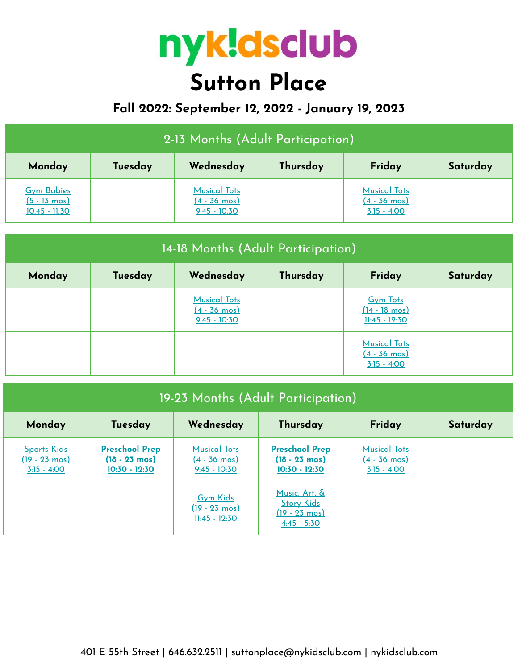# nyk!dsclub **Sutton Place**

## **Fall 2022: September 12, 2022 - January 19, 2023**

| 2-13 Months (Adult Participation)                              |         |                                                                 |          |                                                                |          |  |  |
|----------------------------------------------------------------|---------|-----------------------------------------------------------------|----------|----------------------------------------------------------------|----------|--|--|
| Monday                                                         | Tuesday | Wednesday                                                       | Thursday | Friday                                                         | Saturday |  |  |
| <b>Gym Babies</b><br>$(5 - 13 \text{ mos})$<br>$10:45 - 11:30$ |         | <b>Musical Tots</b><br>$(4 - 36 \text{ mos})$<br>$9:45 - 10:30$ |          | <b>Musical Tots</b><br>$(4 - 36 \text{ mos})$<br>$3:15 - 4:00$ |          |  |  |

| 14-18 Months (Adult Participation) |         |                                                                 |          |                                                                |          |  |
|------------------------------------|---------|-----------------------------------------------------------------|----------|----------------------------------------------------------------|----------|--|
| Monday                             | Tuesday | Wednesday                                                       | Thursday | Friday                                                         | Saturday |  |
|                                    |         | <b>Musical Tots</b><br>$(4 - 36 \text{ mos})$<br>$9:45 - 10:30$ |          | <b>Gym Tots</b><br>$(14 - 18 \text{ mos})$<br>$11:45 - 12:30$  |          |  |
|                                    |         |                                                                 |          | <b>Musical Tots</b><br>$(4 - 36 \text{ mos})$<br>$3:15 - 4:00$ |          |  |

| 19-23 Months (Adult Participation)                             |                                                                     |                                                                 |                                                                                |                                                                |          |  |
|----------------------------------------------------------------|---------------------------------------------------------------------|-----------------------------------------------------------------|--------------------------------------------------------------------------------|----------------------------------------------------------------|----------|--|
| Monday                                                         | Tuesday                                                             | Wednesday                                                       | Thursday                                                                       | Friday                                                         | Saturday |  |
| <b>Sports Kids</b><br>$(19 - 23 \text{ mos})$<br>$3:15 - 4:00$ | <b>Preschool Prep</b><br>$(18 - 23 \text{ mos})$<br>$10:30 - 12:30$ | <b>Musical Tots</b><br>$(4 - 36 \text{ mos})$<br>$9:45 - 10:30$ | <b>Preschool Prep</b><br>$(18 - 23 \text{ mos})$<br>$10:30 - 12:30$            | <b>Musical Tots</b><br>$(4 - 36 \text{ mos})$<br>$3:15 - 4:00$ |          |  |
|                                                                |                                                                     | <b>Gym Kids</b><br>$(19 - 23 \text{ mos})$<br>$11:45 - 12:30$   | Music, Art, &<br><b>Story Kids</b><br>$(19 - 23 \text{ mos})$<br>$4:45 - 5:30$ |                                                                |          |  |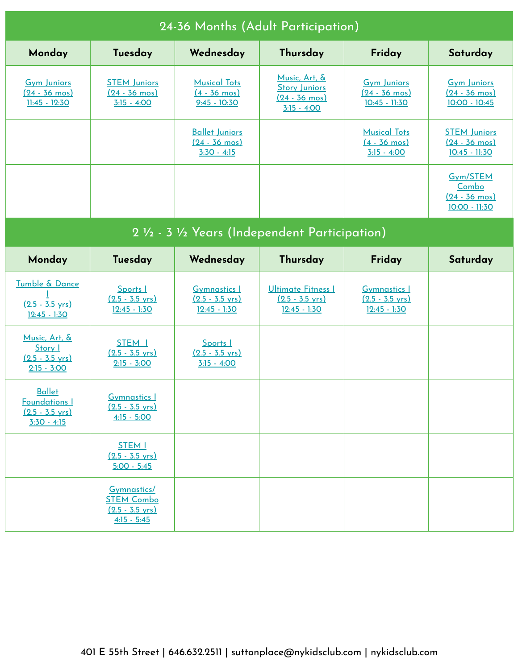| 24-36 Months (Adult Participation)                                                  |                                                                                |                                                                    |                                                                                   |                                                                    |                                                                   |  |  |
|-------------------------------------------------------------------------------------|--------------------------------------------------------------------------------|--------------------------------------------------------------------|-----------------------------------------------------------------------------------|--------------------------------------------------------------------|-------------------------------------------------------------------|--|--|
| Monday                                                                              | Tuesday                                                                        | Wednesday                                                          | Thursday                                                                          | Friday                                                             | Saturday                                                          |  |  |
| <b>Gym Juniors</b><br>$(24 - 36 \text{ mos})$<br>11:45 - 12:30                      | <b>STEM Juniors</b><br>$(24 - 36 \text{ mos})$<br>$3:15 - 4:00$                | <b>Musical Tots</b><br>$(4 - 36 \text{ mos})$<br>$9:45 - 10:30$    | Music, Art, &<br><b>Story Juniors</b><br>$(24 - 36 \text{ mos})$<br>$3:15 - 4:00$ | <b>Gym Juniors</b><br>$(24 - 36 \text{ mos})$<br>$10:45 - 11:30$   | <b>Gym Juniors</b><br>$(24 - 36 \text{ mos})$<br>$10:00 - 10:45$  |  |  |
|                                                                                     |                                                                                | <b>Ballet Juniors</b><br>$(24 - 36 \text{ mos})$<br>$3:30 - 4:15$  |                                                                                   | <b>Musical Tots</b><br>$(4 - 36 \text{ mos})$<br>$3:15 - 4:00$     | <b>STEM Juniors</b><br>$(24 - 36 \text{ mos})$<br>$10:45 - 11:30$ |  |  |
|                                                                                     |                                                                                |                                                                    |                                                                                   |                                                                    | Gym/STEM<br>Combo<br>$(24 - 36 \text{ mos})$<br>10:00 - 11:30     |  |  |
| 2 1/2 - 3 1/2 Years (Independent Participation)                                     |                                                                                |                                                                    |                                                                                   |                                                                    |                                                                   |  |  |
| Monday                                                                              | Tuesday                                                                        | Wednesday                                                          | Thursday                                                                          | Friday                                                             | Saturday                                                          |  |  |
| Tumble & Dance<br>$(2.5 - 3.5 \text{ yrs})$<br>$12:45 - 1:30$                       | Sports I<br>$(2.5 - 3.5 \text{ yrs})$<br>$12:45 - 1:30$                        | <b>Gymnastics 1</b><br>$(2.5 - 3.5 \text{ yrs})$<br>$12:45 - 1:30$ | <b>Ultimate Fitness I</b><br>$(2.5 - 3.5 \text{ yrs})$<br>$12:45 - 1:30$          | <b>Gymnastics I</b><br>$(2.5 - 3.5 \text{ yrs})$<br>$12:45 - 1:30$ |                                                                   |  |  |
| Music, Art, &<br>Story I<br>$(2.5 - 3.5 \text{ yrs})$<br>$2:15 - 3:00$              | STEM <sub>I</sub><br>$(2.5 - 3.5 \text{ yrs})$<br>$2:15 - 3:00$                | Sports I<br>$(2.5 - 3.5 \text{ yrs})$<br>$3:15 - 4:00$             |                                                                                   |                                                                    |                                                                   |  |  |
| <b>Ballet</b><br><b>Foundations I</b><br>$(2.5 - 3.5 \text{ vrs})$<br>$3:30 - 4:15$ | <b>Gymnastics 1</b><br>$(2.5 - 3.5 \text{ vrs})$<br>$4:15 - 5:00$              |                                                                    |                                                                                   |                                                                    |                                                                   |  |  |
|                                                                                     | <b>STEM I</b><br>$(2.5 - 3.5 \text{ vrs})$<br>$5:00 - 5:45$                    |                                                                    |                                                                                   |                                                                    |                                                                   |  |  |
|                                                                                     | Gymnastics/<br><b>STEM Combo</b><br>$(2.5 - 3.5 \text{ yrs})$<br>$4:15 - 5:45$ |                                                                    |                                                                                   |                                                                    |                                                                   |  |  |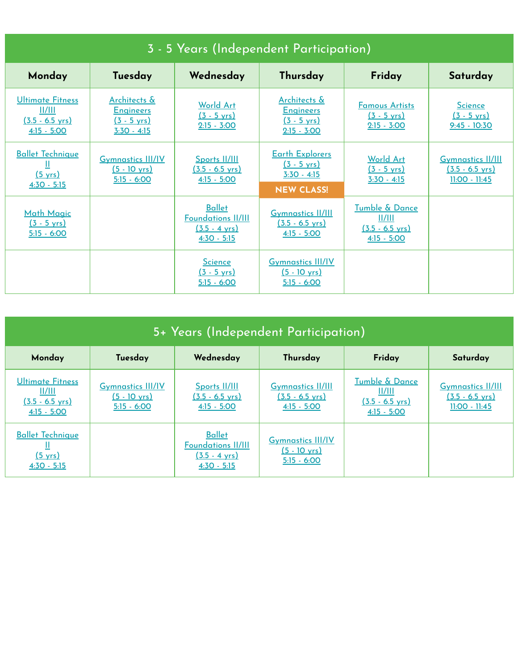| 3 - 5 Years (Independent Participation)                                         |                                                                                       |                                                                                        |                                                                                       |                                                                        |                                                                          |  |  |
|---------------------------------------------------------------------------------|---------------------------------------------------------------------------------------|----------------------------------------------------------------------------------------|---------------------------------------------------------------------------------------|------------------------------------------------------------------------|--------------------------------------------------------------------------|--|--|
| Monday                                                                          | Tuesday                                                                               | Wednesday                                                                              | Thursday                                                                              | Friday                                                                 | Saturday                                                                 |  |  |
| <b>Ultimate Fitness</b><br>  /   <br>$(3.5 - 6.5 \text{ yrs})$<br>$4:15 - 5:00$ | <u>Architects &amp;</u><br><b>Engineers</b><br>$(3 - 5 \text{ yrs})$<br>$3:30 - 4:15$ | <b>World Art</b><br>$(3 - 5 \text{ yrs})$<br>$2:15 - 3:00$                             | Architects &<br><b>Engineers</b><br>$(3 - 5 \text{ yrs})$<br>$2:15 - 3:00$            | <b>Famous Artists</b><br>$(3 - 5 \text{ yrs})$<br>$2:15 - 3:00$        | <b>Science</b><br>$(3 - 5 \text{ yrs})$<br>$9:45 - 10:30$                |  |  |
| <b>Ballet Technique</b><br>Ш<br>$(5 \text{ yrs})$<br>$4:30 - 5:15$              | <b>Gymnastics III/IV</b><br>$(5 - 10 \text{ yrs})$<br>$5:15 - 6:00$                   | Sports II/III<br>$(3.5 - 6.5 \text{ yrs})$<br>$4:15 - 5:00$                            | <b>Earth Explorers</b><br>$(3 - 5 \text{ yrs})$<br>$3:30 - 4:15$<br><b>NEW CLASS!</b> | <b>World Art</b><br>$(3 - 5 \text{ yrs})$<br>$3:30 - 4:15$             | <b>Gymnastics II/III</b><br>$(3.5 - 6.5 \text{ yrs})$<br>$11:00 - 11:45$ |  |  |
| <b>Math Magic</b><br>$(3 - 5 \text{ yrs})$<br>$5:15 - 6:00$                     |                                                                                       | <b>Ballet</b><br><b>Foundations II/III</b><br>$(3.5 - 4 \text{ vrs})$<br>$4:30 - 5:15$ | <b>Gymnastics II/III</b><br>$(3.5 - 6.5 \text{ vrs})$<br>$4:15 - 5:00$                | Tumble & Dance<br>II/III<br>$(3.5 - 6.5 \text{ vrs})$<br>$4:15 - 5:00$ |                                                                          |  |  |
|                                                                                 |                                                                                       | <b>Science</b><br>$(3 - 5 \text{ yrs})$<br>$5:15 - 6:00$                               | <b>Gymnastics III/IV</b><br>$(5 - 10 \text{ vrs})$<br>$5:15 - 6:00$                   |                                                                        |                                                                          |  |  |

| 5+ Years (Independent Participation)                                            |                                                                     |                                                                                        |                                                                        |                                                                                   |                                                                          |  |
|---------------------------------------------------------------------------------|---------------------------------------------------------------------|----------------------------------------------------------------------------------------|------------------------------------------------------------------------|-----------------------------------------------------------------------------------|--------------------------------------------------------------------------|--|
| Monday                                                                          | Tuesday                                                             | Wednesday                                                                              | Thursday                                                               | Friday                                                                            | Saturday                                                                 |  |
| <b>Ultimate Fitness</b><br>II/III<br>$(3.5 - 6.5 \text{ yrs})$<br>$4:15 - 5:00$ | <b>Gymnastics III/IV</b><br>$(5 - 10 \text{ yrs})$<br>$5:15 - 6:00$ | Sports II/III<br>$(3.5 - 6.5 \text{ yrs})$<br>$4:15 - 5:00$                            | <b>Gymnastics II/III</b><br>$(3.5 - 6.5 \text{ yrs})$<br>$4:15 - 5:00$ | <b>Tumble &amp; Dance</b><br>II/III<br>$(3.5 - 6.5 \text{ yrs})$<br>$4:15 - 5:00$ | <b>Gymnastics II/III</b><br>$(3.5 - 6.5 \text{ yrs})$<br>$11:00 - 11:45$ |  |
| <b>Ballet Technique</b><br>$(5 \text{ vrs})$<br>$4:30 - 5:15$                   |                                                                     | <b>Ballet</b><br><b>Foundations II/III</b><br>$(3.5 - 4 \text{ yrs})$<br>$4:30 - 5:15$ | <b>Gymnastics III/IV</b><br><u>(5 - 10 yrs)</u><br>$5:15 - 6:00$       |                                                                                   |                                                                          |  |